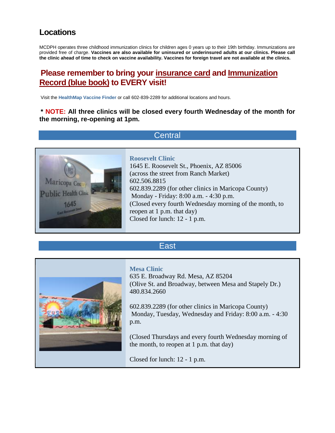## **Locations**

MCDPH operates three childhood immunization clinics for children ages 0 years up to their 19th birthday. Immunizations are provided free of charge. **Vaccines are also available for uninsured or underinsured adults at our clinics. Please call the clinic ahead of time to check on vaccine availability. Vaccines for foreign travel are not available at the clinics.**

## **Please remember to bring your insurance card and Immunization Record (blue book) to EVERY visit!**

Visit the **[HealthMap Vaccine Finder](http://vaccine.healthmap.org/?address=85012)** or call 602-839-2289 for additional locations and hours.

**\* NOTE: All three clinics will be closed every fourth Wednesday of the month for the morning, re-opening at 1pm.**

### **Central**



#### **Roosevelt Clinic**

1645 E. Roosevelt St., Phoenix, AZ 85006 (across the street from Ranch Market) 602.506.8815 602.839.2289 (for other clinics in Maricopa County) Monday - Friday: 8:00 a.m. - 4:30 p.m. (Closed every fourth Wednesday morning of the month, to reopen at 1 p.m. that day) Closed for lunch: 12 - 1 p.m.

### East



**Mesa Clinic**  635 E. Broadway Rd. Mesa, AZ 85204 (Olive St. and Broadway, between Mesa and Stapely Dr.) 480.834.2660

602.839.2289 (for other clinics in Maricopa County) Monday, Tuesday, Wednesday and Friday: 8:00 a.m. - 4:30 p.m.

(Closed Thursdays and every fourth Wednesday morning of the month, to reopen at 1 p.m. that day)

Closed for lunch: 12 - 1 p.m.